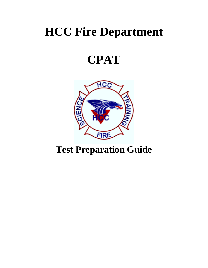### **HCC Fire Department**

### **CPAT**



**Test Preparation Guide**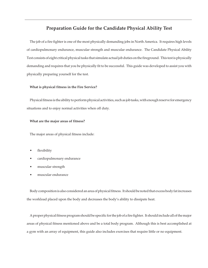#### **Preparation Guide for the Candidate Physical Ability Test**

The job of a fire fighter is one of the most physically demanding jobs in North America. It requires high levels of cardiopulmonary endurance, muscular strength and muscular endurance. The Candidate Physical Ability Test consists of eight critical physical tasks that simulate actual job duties on the fireground. This test is physically demanding and requires that you be physically fit to be successful. This guide was developed to assist you with physically preparing yourself for the test.

#### **What is physical fitness in the Fire Service?**

Physical fitness is the ability to perform physical activities, such as job tasks, with enough reserve for emergency situations and to enjoy normal activities when off duty.

#### **What are the major areas of fitness?**

The major areas of physical fitness include:

- flexibility
- cardiopulmonary endurance
- muscular strength
- muscular endurance

Body composition is also considered an area of physical fitness. It should be noted that excess body fat increases the workload placed upon the body and decreases the body's ability to dissipate heat.

A proper physical fitness program should be specific for the job of a fire fighter. It should include all of the major areas of physical fitness mentioned above and be a total body program. Although this is best accomplished at a gym with an array of equipment, this guide also includes exercises that require little or no equipment.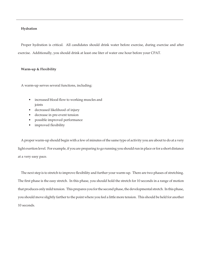#### **Hydration**

Proper hydration is critical. All candidates should drink water before exercise, during exercise and after exercise. Additionally, you should drink at least one liter of water one hour before your CPAT.

#### **Warm-up & Flexibility**

A warm-up serves several functions, including:

- increased blood flow to working muscles and joints
- decreased likelihood of injury
- decrease in pre-event tension
- possible improved performance
- improved flexibility

A proper warm-up should begin with a few of minutes of the same type of activity you are about to do at a very light exertion level. For example, if you are preparing to go running you should run in place or for a short distance at a very easy pace.

The next step is to stretch to improve flexibility and further your warm-up. There are two phases of stretching. The first phase is the easy stretch. In this phase, you should hold the stretch for 10 seconds in a range of motion that produces only mild tension. This prepares you for the second phase, the developmental stretch. In this phase, you should move slightly farther to the point where you feel a little more tension. This should be held for another 10 seconds.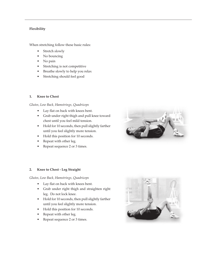#### **Flexibility**

When stretching follow these basic rules:

- Stretch slowly
- No bouncing
- No pain
- Stretching is not competitive
- Breathe slowly to help you relax
- Stretching should feel good
- **1. Knee to Chest**

#### *Glutes, Low Back, Hamstrings, Quadriceps*

- Lay flat on back with knees bent.
- Grab under right thigh and pull knee toward chest until you feel mild tension.
- Hold for 10 seconds, then pull slightly farther until you feel slightly more tension.
- Hold this position for 10 seconds.
- Repeat with other leg.
- Repeat sequence 2 or 3 times.



#### **2. Knee to Chest - Leg Straight**

*Glutes, Low Back, Hamstrings, Quadriceps*

- Lay flat on back with knees bent.
- Grab under right thigh and straighten right leg. Do not lock knee.
- Hold for 10 seconds, then pull slightly farther until you feel slightly more tension.
- Hold this position for 10 seconds.
- Repeat with other leg.
- Repeat sequence 2 or 3 times.

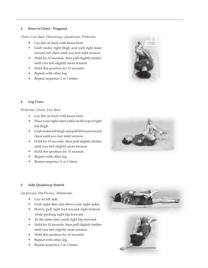#### **3. Knee to Chest - Diagonal**

#### *Glutes, Low Back, Hamstrings, Quadriceps, Piriformis*

- Lay flat on back with knees bent.
- Grab under right thigh and pull right knee toward left chest until you feel mild tension.
- Hold for 10 seconds, then pull slightly farther until you feel slightly more tension.
- Hold this position for 10 seconds.
- Repeat with other leg.
- Repeat sequence 2 or 3 times.



#### **4. Leg Cross**

#### *Piriformis, Glutes, Low Back*

- Lay flat on back with knees bent.
- Place your right outer ankle on the top of right left thigh.
- Grab under left thigh and pull left knee toward chest until you feel mild tension.
- Hold for 10 seconds, then pull slightly farther until you feel slightly more tension.
- Hold this position for 10 seconds.
- Repeat with other leg.
- Repeat sequence 2 or 3 times



#### **5. Side Quadricep Stretch**

#### *Quadriceps, Hip Flexors, Abdominals*

- Lay on left side.
- Grab right shin, just above your right ankle.
- Slowly pull right foot toward right buttock while pushing right hip forward.
- At the same time, push right hip forward.
- Hold for 10 seconds, then pull slightly farther until you feel slightly more tension.
- Hold this position for 10 seconds.
- Repeat with other leg.
- Repeat sequence 2 or 3 times.

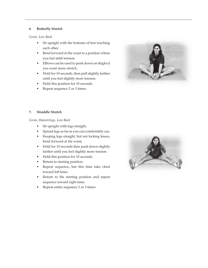#### **6. Butterfly Stretch**

#### *Groin, Low Back*

- Sit upright with the bottoms of feet touching each other.
- Bend forward at the waist to a position where you feel mild tension.
- Elbows can be used to push down on thighs if you want more stretch.
- Hold for 10 seconds, then pull slightly farther until you feel slightly more tension.
- Hold this position for 10 seconds.
- Repeat sequence 2 or 3 times.



#### **7. Straddle Stretch**

#### *Groin, Hamstrings, Low Back*

- Sit upright with legs straight.
- Spread legs as far as you can comfortably can.
- Keeping legs straight, but not locking knees, bend forward at the waist.
- Hold for 10 seconds then push down slightly farther until you feel slightly more tension.
- Hold this position for 10 seconds.
- Return to starting position.
- Repeat sequence, but this time take chest toward left knee.
- Return to the starting position and repeat sequence toward right knee.
- Repeat entire sequence 2 or 3 times.

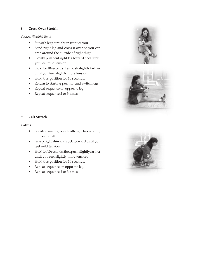#### **8. Cross Over Stretch**

#### *Glutes, Iliotibial Band*

- Sit with legs straight in front of you.
- Bend right leg and cross it over so you can grab around the outside of right thigh.
- Slowly pull bent right leg toward chest until you feel mild tension.
- Hold for 10 seconds then push slightly farther until you feel slightly more tension.
- Hold this position for 10 seconds.
- Return to starting position and switch legs.
- Repeat sequence on opposite leg.
- Repeat sequence 2 or 3 times.





#### **9. Calf Stretch**

#### Calves

- Squat down on ground with right foot slightly in front of left.
- Grasp right shin and rock forward until you feel mild tension.
- Hold for 10 seconds, then push slightly farther until you feel slightly more tension.
- Hold this position for 10 seconds.
- Repeat sequence on opposite leg.
- Repeat sequence 2 or 3 times.

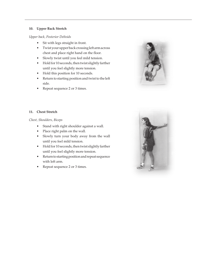#### **10. Upper Back Stretch**

#### *Upper back, Posterior Deltoids*

- Sit with legs straight in front.
- Twist your upper back crossing left arm across chest and place right hand on the floor.
- Slowly twist until you feel mild tension.
- Hold for 10 seconds, then twist slightly farther until you feel slightly more tension.
- Hold this position for 10 seconds.
- Return to starting position and twist to the left side.
- Repeat sequence 2 or 3 times.



#### **11. Chest Stretch**

#### *Chest, Shoulders, Biceps*

- Stand with right shoulder against a wall.
- Place right palm on the wall.
- Slowly turn your body away from the wall until you feel mild tension.
- Hold for 10 seconds, then twist slightly farther until you feel slightly more tension.
- Return to starting position and repeat sequence with left arm.
- Repeat sequence 2 or 3 times.

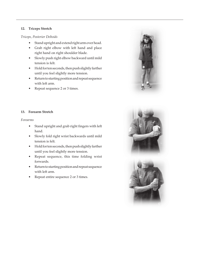#### **12. Triceps Stretch**

#### *Triceps, Posterior Deltoids*

- Stand upright and extend right arm over head.
- Grab right elbow with left hand and place right hand on right shoulder blade.
- Slowly push right elbow backward until mild tension is felt.
- Hold for ten seconds, then push slightly farther until you feel slightly more tension.
- Return to starting position and repeat sequence with left arm.
- Repeat sequence 2 or 3 times.



#### *Forearms*

- Stand upright and grab right fingers with left hand.
- Slowly fold right wrist backwards until mild tension is felt.
- Hold for ten seconds, then push slightly farther until you feel slightly more tension.
- Repeat sequence, this time folding wrist forwards.
- Return to starting position and repeat sequence with left arm.
- Repeat entire sequence 2 or 3 times.





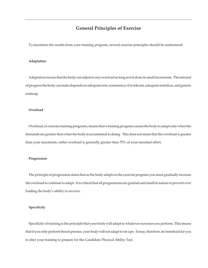#### **General Principles of Exercise**

To maximize the results from your training program, several exercise principles should be understood.

#### **Adaptation**

Adaptation means that the body can adjust to any overload as long as it is done in small increments. The amount of progress the body can make depends on adequate rest, consistency of workouts, adequate nutrition, and genetic makeup.

#### **Overload**

Overload, in exercise training programs, means that a training program causes the body to adapt only when the demands are greater than what the body is accustomed to doing. This does not mean that the overload is greater than your maximum, rather overload is generally greater than 75% of your maximal effort.

#### **Progression**

The principle of progression states that as the body adapts to the exercise program you must gradually increase the overload to continue to adapt. It is critical that all progressions are gradual and small in nature to prevent over loading the body's ability to recover.

#### **Specificity**

Specificity of training is the principle that your body will adapt to whatever exercises you perform. This means that if you only perform bench presses, your body will not adapt to sit-ups. It may, therefore, be beneficial for you to alter your training to prepare for the Candidate Physical Ability Test.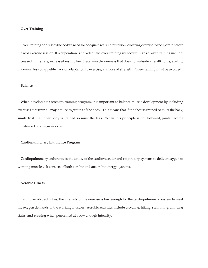#### **Over-Training**

Over-training addresses the body's need for adequate rest and nutrition following exercise to recuperate before the next exercise session. If recuperation is not adequate, over-training will occur. Signs of over training include: increased injury rate, increased resting heart rate, muscle soreness that does not subside after 48 hours, apathy, insomnia, loss of appetite, lack of adaptation to exercise, and loss of strength. Over-training must be avoided.

#### **Balance**

When developing a strength training program, it is important to balance muscle development by including exercises that train all major muscles groups of the body. This means that if the chest is trained so must the back; similarly if the upper body is trained so must the legs. When this principle is not followed, joints become imbalanced, and injuries occur.

#### **Cardiopulmonary Endurance Program**

Cardiopulmonary endurance is the ability of the cardiovascular and respiratory systems to deliver oxygen to working muscles. It consists of both aerobic and anaerobic energy systems.

#### **Aerobic Fitness**

During aerobic activities, the intensity of the exercise is low enough for the cardiopulmonary system to meet the oxygen demands of the working muscles. Aerobic activities include bicycling, hiking, swimming, climbing stairs, and running when performed at a low enough intensity.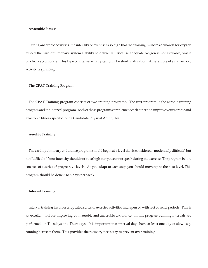#### **Anaerobic Fitness**

During anaerobic activities, the intensity of exercise is so high that the working muscle's demands for oxygen exceed the cardiopulmonary system's ability to deliver it. Because adequate oxygen is not available, waste products accumulate. This type of intense activity can only be short in duration. An example of an anaerobic activity is sprinting.

#### **The CPAT Training Program**

The CPAT Training program consists of two training programs. The first program is the aerobic training program and the interval program. Both of these programs complement each other and improve your aerobic and anaerobic fitness specific to the Candidate Physical Ability Test.

#### **Aerobic Training**

The cardiopulmonary endurance program should begin at a level that is considered "moderately difficult" but not "difficult." Your intensity should not be so high that you cannot speak during the exercise. The program below consists of a series of progressive levels. As you adapt to each step, you should move up to the next level. This program should be done 3 to 5 days per week.

#### **Interval Training**

Interval training involves a repeated series of exercise activities interspersed with rest or relief periods. This is an excellent tool for improving both aerobic and anaerobic endurance. In this program running intervals are performed on Tuesdays and Thursdays. It is important that interval days have at least one day of slow easy running between them. This provides the recovery necessary to prevent over training.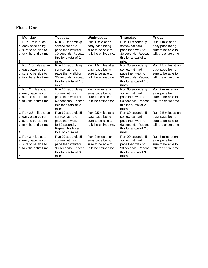#### **Phase One**

|              | <b>Monday</b>                  | <b>Tuesday</b>          | Wednesday             | <b>Thursday</b>         | <b>Friday</b>         |
|--------------|--------------------------------|-------------------------|-----------------------|-------------------------|-----------------------|
|              | Run 1 mile at an               | Run 30 seconds @        | Run 1 mile at an      | Run 30 seconds @        | Run 1 mile at an      |
| е            | easy pace being                | somewhat hard           | easy pace being       | somewhat hard           | easy pace being       |
| $\mathbf{v}$ | sure to be able to             | pace then walk for      | sure to be able to    | pace then walk for      | sure to be able to    |
| е            | talk the entire time.          | 30 seconds. Repeat      | talk the entire time. | 30 seconds. Repeat      | talk the entire time. |
|              |                                | this for a total of 1   |                       | this for a total of 1   |                       |
|              |                                | mile.                   |                       | mile.                   |                       |
|              | Run 1.5 miles at an            | Run 30 seconds @        | Run 1.5 miles at an   | Run 30 seconds @        | Run 1.5 miles at an   |
| e            | easy pace being                | somewhat hard           | easy pace being       | somewhat hard           | easy pace being       |
| v            | sure to be able to             | pace then walk for      | sure to be able to    | pace then walk for      | sure to be able to    |
| e            | talk the entire time.          | 30 seconds. Repeat      | talk the entire time. | 30 seconds. Repeat      | talk the entire time. |
|              |                                | this for a total of 1.5 |                       | this for a total of 1.5 |                       |
|              |                                | miles.                  |                       | miles.                  |                       |
|              | $\overline{Run 2}$ miles at an | Run 60 seconds @        | Run 2 miles at an     | Run 60 seconds @        | Run 2 miles at an     |
| e            | easy pace being                | somewhat hard           | easy pace being       | somewhat hard           | easy pace being       |
| ν            | sure to be able to             | pace then walk for      | sure to be able to    | pace then walk for      | sure to be able to    |
| e            | talk the entire time.          | 60 seconds. Repeat      | talk the entire time. | 60 seconds. Repeat      | talk the entire time. |
|              |                                | this for a total of 2   |                       | this for a total of 2   |                       |
| 3            |                                | miles.                  |                       | miles.                  |                       |
|              | Run 2.5 miles at an            | Run 60 seconds @        | Run 2.5 miles at an   | Run 60 seconds @        | Run 2.5 miles at an   |
| е            | easy pace being                | somewhat hard           | easy pace being       | somewhat hard           | easy pace being       |
| v            | sure to be able to             | pace then walk          | sure to be able to    | pace then walk for      | sure to be able to    |
| е            | talk the entire time.          | for60 seconds.          | talk the entire time. | 60 seconds. Repeat      | talk the entire time. |
|              |                                | Repeat this for a       |                       | this for a total of 2.5 |                       |
|              |                                | total of 2.5 miles.     |                       | miles.                  |                       |
|              | Run 3 miles at an              | Run 90 seconds @        | Run 3 miles at an     | Run 90 seconds @        | Run 3 miles at an     |
| е            | easy pace being                | somewhat hard           | easy pace being       | somewhat hard           | easy pace being       |
| $\mathbf{v}$ | sure to be able to             | pace then walk for      | sure to be able to    | pace then walk for      | sure to be able to    |
| e            | talk the entire time.          | 90 seconds. Repeat      | talk the entire time. | 90 seconds. Repeat      | talk the entire time. |
|              |                                | this for a total of 3   |                       | this for a total of 3   |                       |
|              |                                | miles.                  |                       | miles.                  |                       |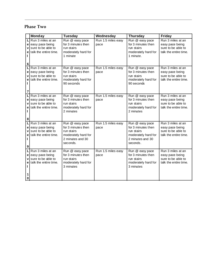#### **Phase Two**

|               | Monday                                                                                                         | <b>Tuesday</b>                                                                                             | Wednesday                  | <b>Thursday</b>                                                                                            | <b>Friday</b>                                                                       |
|---------------|----------------------------------------------------------------------------------------------------------------|------------------------------------------------------------------------------------------------------------|----------------------------|------------------------------------------------------------------------------------------------------------|-------------------------------------------------------------------------------------|
| 6             | $L$ Run 3 miles at an<br>e easy pace being<br>v sure to be able to<br>e Italk the entire time.                 | Run @ easy pace<br>for 3 minutes then<br>run stairs<br>moderately hard for<br>1 minute                     | Run 1.5 miles easy<br>pace | Run @ easy pace<br>for 3 minutes then<br>run stairs<br>moderately hard for<br>1 minute.                    | Run 3 miles at an<br>easy pace being<br>sure to be able to<br>talk the entire time. |
|               | $L$ Run 3 miles at an<br>e easy pace being<br>$v$ sure to be able to<br>e Italk the entire time.               | Run @ easy pace<br>for 3 minutes then<br>run stairs<br>moderately hard for<br>90 seconds                   | Run 1.5 miles easy<br>pace | Run @ easy pace<br>for 3 minutes then<br>run stairs<br>moderately hard for<br>90 seconds                   | Run 3 miles at an<br>easy pace being<br>sure to be able to<br>talk the entire time. |
| 8             | $L$ Run 3 miles at an<br>e easy pace being<br>v sure to be able to<br>e Italk the entire time.                 | Run @ easy pace<br>for 3 minutes then<br>run stairs<br>moderately hard for<br>2 minutes                    | Run 1.5 miles easy<br>pace | Run @ easy pace<br>for 3 minutes then<br>run stairs<br>moderately hard for<br>2 minutes                    | Run 3 miles at an<br>easy pace being<br>sure to be able to<br>talk the entire time. |
| 9             | $L$ Run 3 miles at an<br>e easy pace being<br>v sure to be able to<br>e Italk the entire time.                 | Run @ easy pace<br>for 3 minutes then<br>run stairs<br>moderately hard for<br>2 minutes and 30<br>seconds. | Run 1.5 miles easy<br>pace | Run @ easy pace<br>for 3 minutes then<br>run stairs<br>moderately hard for<br>2 minutes and 30<br>seconds. | Run 3 miles at an<br>easy pace being<br>sure to be able to<br>talk the entire time. |
| 1<br>$\bf{0}$ | <b>L</b> $\sqrt{R}$ Run 3 miles at an<br>e easy pace being<br>v sure to be able to<br>el talk the entire time. | Run @ easy pace<br>for 3 minutes then<br>run stairs<br>moderately hard for<br>3 minutes                    | Run 1.5 miles easy<br>pace | Run @ easy pace<br>for 3 minutes then<br>run stairs<br>moderately hard for<br>3 minutes                    | Run 3 miles at an<br>easy pace being<br>sure to be able to<br>talk the entire time. |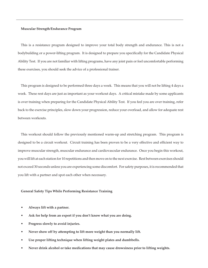#### **Muscular Strength/Endurance Program**

This is a resistance program designed to improve your total body strength and endurance. This is not a bodybuilding or a power-lifting program. It is designed to prepare you specifically for the Candidate Physical Ability Test. If you are not familiar with lifting programs, have any joint pain or feel uncomfortable performing these exercises, you should seek the advice of a professional trainer.

This program is designed to be performed three days a week. This means that you will not be lifting 4 days a week. These rest days are just as important as your workout days. A critical mistake made by some applicants is over training when preparing for the Candidate Physical Ability Test. If you feel you are over training, refer back to the exercise principles, slow down your progression, reduce your overload, and allow for adequate rest between workouts.

This workout should follow the previously mentioned warm-up and stretching program. This program is designed to be a circuit workout. Circuit training has been proven to be a very effective and efficient way to improve muscular strength, muscular endurance and cardiovascular endurance. Once you begin this workout, you will lift at each station for 10 repetitions and then move on to the next exercise. Rest between exercises should not exceed 30 seconds unless you are experiencing some discomfort. For safety purposes, it is recommended that you lift with a partner and spot each other when necessary.

#### **General Safety Tips While Performing Resistance Training**

- **Always lift with a partner.**
- **Ask for help from an expert if you don't know what you are doing.**
- **Progress slowly to avoid injuries.**
- **Never show off by attempting to lift more weight than you normally lift.**
- **Use proper lifting technique when lifting weight plates and dumbbells.**
- **Never drink alcohol or take medications that may cause drowsiness prior to lifting weights.**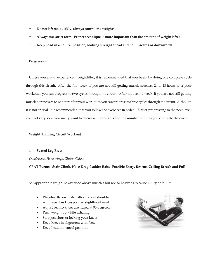- **Do not lift too quickly, always control the weights.**
- **Always use strict form. Proper technique is more important than the amount of weight lifted.**
- **Keep head in a neutral position, looking straight ahead and not upwards or downwards.**

#### **Progression**

Unless you are an experienced weightlifter, it is recommended that you begin by doing one complete cycle through this circuit. After the first week, if you are not still getting muscle soreness 24 to 48 hours after your workouts, you can progress to two cycles through the circuit. After the second week, if you are not still getting muscle soreness 24 to 48 hours after your workouts, you can progress to three cycles through the circuit. Although it is not critical, it is recommended that you follow the exercises in order. If, after progressing to the next level, you feel very sore, you many want to decrease the weights and the number of times you complete the circuit.

#### **Weight Training Circuit Workout**

#### **1. Seated Leg Press**

*Quadriceps, Hamstrings, Glutes, Calves*

**CPAT Events: Stair Climb, Hose Drag, Ladder Raise, Forcible Entry, Rescue, Ceiling Breach and Pull**

Set appropriate weight to overload above muscles but not so heavy as to cause injury or failure.

- Place feet flat on push platform about shoulder width apart and toes pointed slightly outward.
- Adjust seat so knees are flexed at 90 degrees.
- Push weight up while exhaling.
- Stop just short of locking your knees.
- Keep knees in alignment with feet.
- Keep head in neutral position.

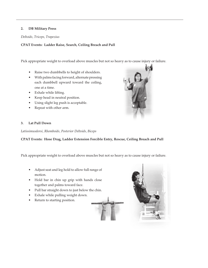#### **2. DB Military Press**

*Deltoids, Triceps, Trapezius*

#### **CPAT Events: Ladder Raise, Search, Ceiling Breach and Pull**

Pick appropriate weight to overload above muscles but not so heavy as to cause injury or failure.

- Raise two dumbbells to height of shoulders.
- With palms facing forward, alternate pressing each dumbbell upward toward the ceiling, one at a time.
- Exhale while lifting.
- Keep head in neutral position.
- Using slight leg push is acceptable.
- Repeat with other arm.



#### **3. Lat Pull Down**

*Latissimusdorsi, Rhomboids, Posterior Deltoids, Biceps*

#### **CPAT Events: Hose Drag, Ladder Extension Forcible Entry, Rescue, Ceiling Breach and Pull**

Pick appropriate weight to overload above muscles but not so heavy as to cause injury or failure.

- Adjust seat and leg hold to allow full range of motion.
- Hold bar in chin up grip with hands close together and palms toward face.
- Pull bar straight down to just below the chin.
- Exhale while pulling weight down.
- Return to starting position.



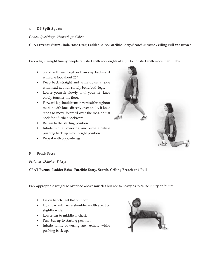#### **4. DB Split-Squats**

*Glutes, Quadriceps, Hamstrings, Calves*

#### **CPAT Events: Stair Climb, Hose Drag, Ladder Raise, Forcible Entry, Search, Rescue Ceiling Pull and Breach**

Pick a light weight (many people can start with no weights at all). Do not start with more than 10 lbs.

- Stand with feet together than step backward with one foot about 26".
- Keep back straight and arms down at side with head neutral, slowly bend both legs.
- Lower yourself slowly until your left knee barely touches the floor.
- Forward leg should remain vertical throughout motion with knee directly over ankle. If knee tends to move forward over the toes, adjust back foot further backward.
- Return to the starting position.
- Inhale while lowering and exhale while pushing back up into upright position.
- Repeat with opposite leg.



#### **5. Bench Press**

*Pectorals, Deltoids, Triceps*

**CPAT Events: Ladder Raise, Forcible Entry, Search, Ceiling Breach and Pull**

Pick appropriate weight to overload above muscles but not so heavy as to cause injury or failure.

- Lie on bench, feet flat on floor.
- Hold bar with arms shoulder width apart or slightly wider.
- Lower bar to middle of chest.
- Push bar up to starting position.
- Inhale while lowering and exhale while pushing back up.

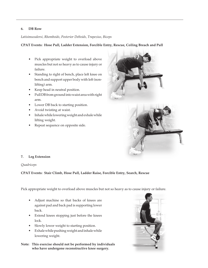#### **6. DB Row**

*Latisimussdorsi, Rhomboids, Posterior Deltoids, Trapezius, Biceps*

#### **CPAT Events: Hose Pull, Ladder Extension, Forcible Entry, Rescue, Ceiling Breach and Pull**

- Pick appropriate weight to overload above muscles but not so heavy as to cause injury or failure.
- Standing to right of bench, place left knee on bench and support upper body with left (nonlifting) arm.
- Keep head in neutral position.
- Pull DB from ground into waist area with right arm.
- Lower DB back to starting position.
- Avoid twisting at waist.
- Inhale while lowering weight and exhale while lifting weight.
- Repeat sequence on opposite side.





#### **7. Leg Extension**

#### *Quadriceps*

**CPAT Events: Stair Climb, Hose Pull, Ladder Raise, Forcible Entry, Search, Rescue**

Pick appropriate weight to overload above muscles but not so heavy as to cause injury or failure.

- Adjust machine so that backs of knees are against pad and back pad is supporting lower back.
- Extend knees stopping just before the knees lock.
- Slowly lower weight to starting position.
- Exhale while pushing weight and inhale while lowering weight.

**Note: This exercise should not be performed by individuals who have undergone reconstructive knee surgery.**

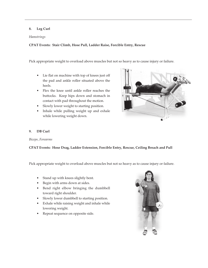#### **8. Leg Curl**

#### *Hamstrings*

#### **CPAT Events: Stair Climb, Hose Pull, Ladder Raise, Forcible Entry, Rescue**

Pick appropriate weight to overload above muscles but not so heavy as to cause injury or failure.

- Lie flat on machine with top of knees just off the pad and ankle roller situated above the heels.
- Flex the knee until ankle roller reaches the buttocks. Keep hips down and stomach in contact with pad throughout the motion.
- Slowly lower weight to starting position.
- Inhale while pulling weight up and exhale while lowering weight down.



#### **9. DB Curl**

*Biceps, Forearms*

#### **CPAT Events: Hose Drag, Ladder Extension, Forcible Entry, Rescue, Ceiling Breach and Pull**

Pick appropriate weight to overload above muscles but not so heavy as to cause injury or failure.

- Stand up with knees slightly bent.
- Begin with arms down at sides.
- Bend right elbow bringing the dumbbell toward right shoulder.
- Slowly lower dumbbell to starting position.
- Exhale while raising weight and inhale while lowering weight.
- Repeat sequence on opposite side.

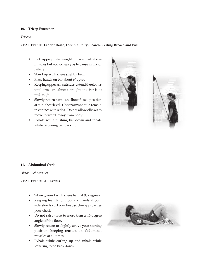#### **10. Tricep Extension**

#### *Triceps*

#### **CPAT Events: Ladder Raise, Forcible Entry, Search, Ceiling Breach and Pull**

- Pick appropriate weight to overload above muscles but not so heavy as to cause injury or failure.
- Stand up with knees slightly bent.
- Place hands on bar about 6" apart.
- Keeping upper arms at sides, extend the elbows until arms are almost straight and bar is at mid-thigh.
- Slowly return bar to an elbow flexed position at mid-chest level. Upper arms should remain in contact with sides. Do not allow elbows to move forward, away from body.
- Exhale while pushing bar down and inhale while returning bar back up.





#### **11. Abdominal Curls**

*Abdominal Muscles*

#### **CPAT Events: All Events**

- Sit on ground with knees bent at 90 degrees.
- Keeping feet flat on floor and hands at your side, slowly curl your torso so chin approaches your chest.
- Do not raise torso to more than a 45-degree angle off the floor.
- Slowly return to slightly above your starting position, keeping tension on abdominal muscles at all times.
- Exhale while curling up and inhale while lowering torso back down.

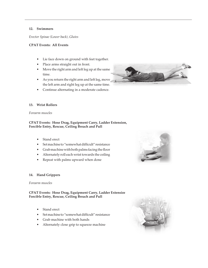#### **12. Swimmers**

*Erector Spinae (Lower back), Glutes*

#### **CPAT Events: All Events**

- Lie face down on ground with feet together.
- Place arms straight out in front.
- Move the right arm and left leg up at the same time.
- As you return the right arm and left leg, move the left arm and right leg up at the same time.
- Continue alternating in a moderate cadence.



#### **13. Wrist Rollers**

#### *Forearm muscles*

#### **CPAT Events: Hose Drag, Equipment Carry, Ladder Extension, Forcible Entry, Rescue, Ceiling Breach and Pull**

- **Stand erect**
- Set machine to "somewhat difficult" resistance
- Grab machine with both palms facing the floor
- Alternately roll each wrist towards the ceiling
- Repeat with palms upward when done

#### **14. Hand Grippers**

#### *Forearm muscles*

#### **CPAT Events: Hose Drag, Equipment Carry, Ladder Extension, Forcible Entry, Rescue, Ceiling Breach and Pull**

- Stand erect
- Set machine to "somewhat difficult" resistance
- Grab machine with both hands
- Alternately close grip to squeeze machine



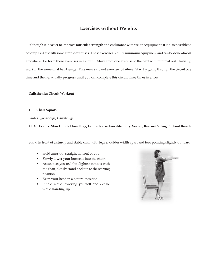#### **Exercises without Weights**

Although it is easier to improve muscular strength and endurance with weight equipment, it is also possible to accomplish this with some simple exercises. These exercises require minimum equipment and can be done almost anywhere. Perform these exercises in a circuit. Move from one exercise to the next with minimal rest. Initially, work in the somewhat hard range. This means do not exercise to failure. Start by going through the circuit one time and then gradually progress until you can complete this circuit three times in a row.

#### **Calisthenics Circuit Workout**

**1. Chair Squats**

*Glutes, Quadriceps, Hamstrings*

#### **CPAT Events: Stair Climb, Hose Drag, Ladder Raise, Forcible Entry, Search, Rescue Ceiling Pull and Breach**

Stand in front of a sturdy and stable chair with legs shoulder width apart and toes pointing slightly outward.

- Hold arms out straight in front of you.
- Slowly lower your buttocks into the chair.
- As soon as you feel the slightest contact with the chair, slowly stand back up to the starting position.
- Keep your head in a neutral position.
- Inhale while lowering yourself and exhale while standing up.

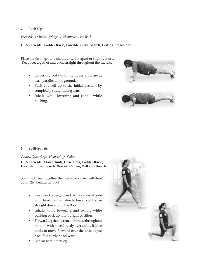#### **2. Push Ups**

*Pectorals, Deltoids, Triceps, Abdominals, Low Back)*

#### **CPAT Events: Ladder Raise, Forcible Entry, Search, Ceiling Breach and Pull**

Place hands on ground shoulder width apart or slightly more. Keep feet together and back straight throughout the exercise.

- Lower the body until the upper arms are at least parallel to the ground.
- Push yourself up to the initial position by completely straightening arms.
- Inhale while lowering and exhale while pushing.





#### **3. Split-Squats**

#### *Glutes, Quadriceps, Hamstrings, Calves*

**CPAT Events: Stair Climb, Hose Drag, Ladder Raise, Forcible Entry, Search, Rescue, Ceiling Pull and Breach**

Stand with feet together then step backward with foot about 26" behind left foot.

- Keep back straight and arms down at side with head neutral, slowly lower right knee straight down onto the floor.
- Inhale while lowering and exhale while pushing back up into upright position.
- Forward leg should remain vertical throughout motion, with knee directly over ankle. If knee tends to move forward over the toes, adjust back foot further backward.
- Repeat with other leg.

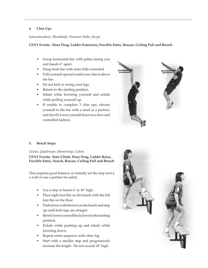#### **4. Chin Ups**

#### *Latissimusdoris, Rhomboids, Posterior Delts, Biceps*

#### **CPAT Events: Hose Drag, Ladder Extension, Forcible Entry, Rescue, Ceiling Pull and Breach**

- Grasp horizontal bar with palms facing you and hands 6" apart.
- Hang from bar with arms fully extended.
- Pull yourself upward until your chin is above the bar.
- Do not kick or swing your legs.
- Return to the starting position.
- Inhale while lowering yourself and exhale while pulling yourself up.
- If unable to complete 3 chin ups, elevate yourself to the bar with a stool or a partner, and slowly lower yourself down in a slow and controlled fashion.



#### **5. Bench Steps**

#### *Glutes, Quadriceps, Hamstrings, Calves*

**CPAT Events: Stair Climb, Hose Drag, Ladder Raise, Forcible Entry, Search, Rescue, Ceiling Pull and Breach**

This requires good balance, so initially set the step next to a wall or use a partner for safety.

- Use a step or bench 6" to 18" high.
- Place right foot flat on the bench with the left foot flat on the floor.
- Push down with the foot on the bench and step up until both legs are straight.
- Slowly lower yourself back down to the starting position.
- Exhale while pushing up and inhale while lowering down.
- Repeat entire sequence with other leg.
- Start with a smaller step and progressively increase the height. Do not exceed 18" high.

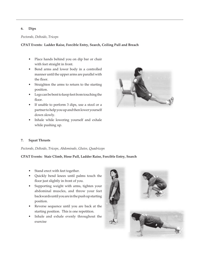#### **6. Dips**

#### *Pectorals, Deltoids, Triceps*

#### **CPAT Events: Ladder Raise, Forcible Entry, Search, Ceiling Pull and Breach**

- Place hands behind you on dip bar or chair with feet straight in front.
- Bend arms and lower body in a controlled manner until the upper arms are parallel with the floor.
- Straighten the arms to return to the starting position.
- Legs can be bent to keep feet from touching the floor.
- If unable to perform 3 dips, use a stool or a partner to help you up and then lower yourself down slowly.
- Inhale while lowering yourself and exhale while pushing up.



#### **7. Squat Thrusts**

*Pectorals, Deltoids, Triceps, Abdominals, Glutes, Quadriceps*

#### **CPAT Events: Stair Climb, Hose Pull, Ladder Raise, Forcible Entry, Search**

- Stand erect with feet together.
- Quickly bend knees until palms touch the floor just slightly in front of you.
- Supporting weight with arms, tighten your abdominal muscles, and throw your feet backwards until you are in the push up starting position.
- Reverse sequence until you are back at the starting position. This is one repetition.
- Inhale and exhale evenly throughout the exercise

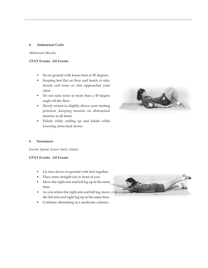#### **8. Abdominal Curls**

#### *Abdominal Muscles*

#### **CPAT Events: All Events**

- Sit on ground with knees bent at 90 degrees.
- Keeping feet flat on floor and hands at side, slowly curl torso so chin approaches your chest.
- Do not raise torso to more than a 45-degree angle off the floor.
- Slowly return to slightly above your starting position, keeping tension on abdominal muscles at all times.
- Exhale while curling up and inhale while lowering torso back down.



#### **9. Swimmers**

*Erector Spinae (Lower back), Glutes*

#### **CPAT Events: All Events**

- Lie face down on ground with feet together.
- Place arms straight out in front of you.
- Move the right arm and left leg up at the same time.
- As you return the right arm and left leg, move the left arm and right leg up at the same time.
- Continue alternating in a moderate cadence.

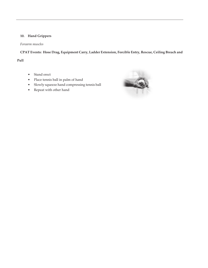#### **10. Hand Grippers**

*Forearm muscles*

**CPAT Events: Hose Drag, Equipment Carry, Ladder Extension, Forcible Entry, Rescue, Ceiling Breach and**

#### **Pull**

- Stand erect
- Place tennis ball in palm of hand
- Slowly squeeze hand compressing tennis ball
- Repeat with other hand

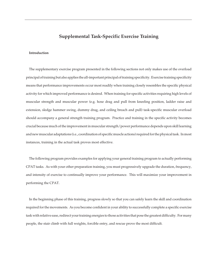#### **Supplemental Task-Specific Exercise Training**

#### **Introduction**

The supplementary exercise program presented in the following sections not only makes use of the overload principal of training but also applies the all-important principal of training specificity. Exercise training specificity means that performance improvements occur most readily when training closely resembles the specific physical activity for which improved performance is desired. When training for specific activities requiring high levels of muscular strength and muscular power (e.g. hose drag and pull from kneeling position, ladder raise and extension, sledge hammer swing, dummy drag, and ceiling breach and pull) task-specific muscular overload should accompany a general strength training program. Practice and training in the specific activity becomes crucial because much of the improvement in muscular strength/power performance depends upon skill learning and new muscular adaptations (i.e., coordination of specific muscle actions) required for the physical task. In most instances, training in the actual task proves most effective.

The following program provides examples for applying your general training program to actually performing CPAT tasks. As with your other preparation training, you must progressively upgrade the duration, frequency, and intensity of exercise to continually improve your performance. This will maximize your improvement in performing the CPAT.

In the beginning phase of this training, progress slowly so that you can safely learn the skill and coordination required for the movements. As you become confident in your ability to successfully complete a specific exercise task with relative ease, redirect your training energies to those activities that pose the greatest difficulty. For many people, the stair climb with full weights, forcible entry, and rescue prove the most difficult.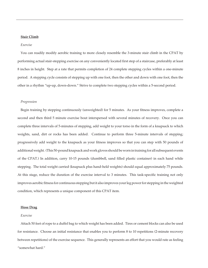#### **Stair Climb**

#### *Exercise*

You can readily modify aerobic training to more closely resemble the 3-minute stair climb in the CPAT by performing actual stair-stepping exercise on any conveniently located first step of a staircase, preferably at least 8 inches in height. Step at a rate that permits completion of 24 complete stepping cycles within a one-minute period. A stepping cycle consists of stepping up with one foot, then the other and down with one foot, then the other in a rhythm "up-up, down-down." Strive to complete two stepping cycles within a 5-second period.

#### *Progression*

Begin training by stepping continuously (unweighted) for 5 minutes. As your fitness improves, complete a second and then third 5 minute exercise bout interspersed with several minutes of recovery. Once you can complete three intervals of 5-minutes of stepping, add weight to your torso in the form of a knapsack to which weights, sand, dirt or rocks has been added. Continue to perform three 5-minute intervals of stepping; progressively add weight to the knapsack as your fitness improves so that you can step with 50 pounds of additional weight. (This 50-pound knapsack and work gloves should be worn in training for all subsequent events of the CPAT.) In addition, carry 10-15 pounds (dumbbell, sand filled plastic container) in each hand while stepping. The total weight carried (knapsack plus hand-held weights) should equal approximately 75 pounds. At this stage, reduce the duration of the exercise interval to 3 minutes. This task-specific training not only improves aerobic fitness for continuous stepping but it also improves your leg power for stepping in the weighted condition, which represents a unique component of this CPAT item.

#### **Hose Drag**

#### *Exercise*

Attach 50 feet of rope to a duffel bag to which weight has been added. Tires or cement blocks can also be used for resistance. Choose an initial resistance that enables you to perform 8 to 10 repetitions (2-minute recovery between repetitions) of the exercise sequence. This generally represents an effort that you would rate as feeling "somewhat hard."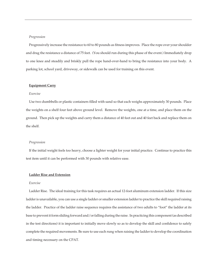#### *Progression*

Progressively increase the resistance to 60 to 80 pounds as fitness improves. Place the rope over your shoulder and drag the resistance a distance of 75 feet. (You should run during this phase of the event.) Immediately drop to one knee and steadily and briskly pull the rope hand-over-hand to bring the resistance into your body. A parking lot, school yard, driveway, or sidewalk can be used for training on this event.

#### **Equipment Carry**

#### *Exercise*

Use two dumbbells or plastic containers filled with sand so that each weighs approximately 30 pounds. Place the weights on a shelf four feet above ground level. Remove the weights, one at a time, and place them on the ground. Then pick up the weights and carry them a distance of 40 feet out and 40 feet back and replace them on the shelf.

#### *Progression*

If the initial weight feels too heavy, choose a lighter weight for your initial practice. Continue to practice this test item until it can be performed with 30 pounds with relative ease.

#### **Ladder Rise and Extension**

#### *Exercise*

Ladder Rise. The ideal training for this task requires an actual 12-foot aluminum extension ladder. If this size ladder is unavailable, you can use a single ladder or smaller extension ladder to practice the skill required raising the ladder. Practice of the ladder raise sequence requires the assistance of two adults to "foot" the ladder at its base to prevent it form sliding forward and/or falling during the raise. In practicing this component (as described in the test directions) it is important to initially move slowly so as to develop the skill and confidence to safely complete the required movements. Be sure to use each rung when raising the ladder to develop the coordination and timing necessary on the CPAT.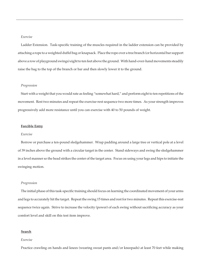#### *Exercise*

Ladder Extension. Task-specific training of the muscles required in the ladder extension can be provided by attaching a rope to a weighted duffel bag or knapsack. Place the rope over a tree branch (or horizontal bar support above a row of playground swings) eight to ten feet above the ground. With hand-over-hand movements steadily raise the bag to the top of the branch or bar and then slowly lower it to the ground.

#### *Progression*

Start with a weight that you would rate as feeling "somewhat hard," and perform eight to ten repetitions of the movement. Rest two minutes and repeat the exercise-rest sequence two more times. As your strength improves progressively add more resistance until you can exercise with 40 to 50 pounds of weight.

#### **Forcible Entry**

#### *Exercise*

Borrow or purchase a ten-pound sledgehammer. Wrap padding around a large tree or vertical pole at a level of 39 inches above the ground with a circular target in the center. Stand sideways and swing the sledgehammer in a level manner so the head strikes the center of the target area. Focus on using your legs and hips to initiate the swinging motion.

#### *Progression*

The initial phase of this task-specific training should focus on learning the coordinated movement of your arms and legs to accurately hit the target. Repeat the swing 15 times and rest for two minutes. Repeat this exercise-rest sequence twice again. Strive to increase the velocity (power) of each swing without sacrificing accuracy as your comfort level and skill on this test item improve.

#### **Search**

#### *Exercise*

Practice crawling on hands and knees (wearing sweat pants and/or kneepads) at least 70 feet while making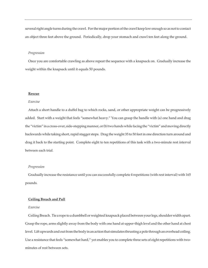several right angle turns during the crawl. For the major portion of the crawl keep low enough so as not to contact an object three feet above the ground. Periodically, drop your stomach and crawl ten feet along the ground.

#### *Progression*

Once you are comfortable crawling as above repeat the sequence with a knapsack on. Gradually increase the weight within the knapsack until it equals 50 pounds.

#### **Rescue**

#### *Exercise*

Attach a short handle to a duffel bag to which rocks, sand, or other appropriate weight can be progressively added. Start with a weight that feels "somewhat heavy." You can grasp the handle with (a) one hand and drag the "victim" in a cross-over, side-stepping manner, or (b) two hands while facing the "victim" and moving directly backwards while taking short, rapid stagger steps. Drag the weight 35 to 50 feet in one direction turn around and drag it back to the starting point. Complete eight to ten repetitions of this task with a two-minute rest interval between each trial.

#### *Progression*

Gradually increase the resistance until you can successfully complete 4 repetitions (with rest interval) with 165 pounds.

#### **Ceiling Breach and Pull**

#### *Exercise*

Ceiling Breach. Tie a rope to a dumbbell or weighted knapsack placed between your legs, shoulder width apart. Grasp the rope, arms slightly away from the body with one hand at upper-thigh level and the other hand at chest level. Lift upwards and out from the body in an action that simulates thrusting a pole through an overhead ceiling. Use a resistance that feels "somewhat hard," yet enables you to complete three sets of eight repetitions with twominutes of rest between sets.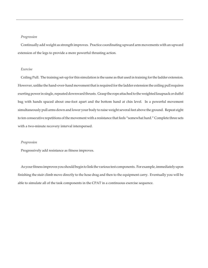#### *Progression*

Continually add weight as strength improves. Practice coordinating upward arm movements with an upward extension of the legs to provide a more powerful thrusting action.

#### *Exercise*

Ceiling Pull. The training set-up for this simulation is the same as that used in training for the ladder extension. However, unlike the hand-over-hand movement that is required for the ladder extension the ceiling pull requires exerting power in single, repeated downward thrusts. Grasp the rope attached to the weighted knapsack or duffel bag with hands spaced about one-foot apart and the bottom hand at chin level. In a powerful movement simultaneously pull arms down and lower your body to raise weight several feet above the ground. Repeat eight to ten consecutive repetitions of the movement with a resistance that feels "somewhat hard." Complete three sets with a two-minute recovery interval interspersed.

#### *Progression*

Progressively add resistance as fitness improves.

As your fitness improves you should begin to link the various test components. For example, immediately upon finishing the stair climb move directly to the hose drag and then to the equipment carry. Eventually you will be able to simulate all of the task components in the CPAT in a continuous exercise sequence.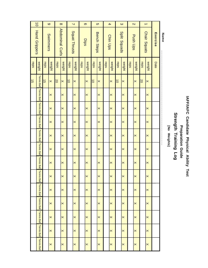# IAFF/IAFC Candidate Physical Ability Test **IAFF/IAFC Candidate Physical Ability Test**

## **Preparation Guide Preparation Guide**

# Strength Training Log **Strength Training Log**

[No Weights] **[No Weights]**

|                    | $\overrightarrow{0}$ |           | $\pmb{\circ}$  |                 | $\infty$               |           | $\overline{\phantom{0}}$ |      | $\sigma$              |           | ຕ                     |      | $\overline{\mathbf{4}}$ |           | $\omega$       |      | $\mathbf{z}$       |                | $\rightharpoonup$     |                 |      |
|--------------------|----------------------|-----------|----------------|-----------------|------------------------|-----------|--------------------------|------|-----------------------|-----------|-----------------------|------|-------------------------|-----------|----------------|------|--------------------|----------------|-----------------------|-----------------|------|
|                    | <b>Hand Grippers</b> |           | Swimmers       |                 | <b>Abdominal Curls</b> |           | Squat Thrusts            |      | Dips                  |           | <b>Bench Steps</b>    |      | Chin Ups                |           | Split Squads   |      | Push Ups           |                | Chair Squats          | <b>Exercise</b> | Name |
| reps               | weight               | reps      | weight         | reps            | weight                 | reps      | weight                   | reps | weight                | reps      | weight                | reps | weight                  | reps      | weight         | reps | weight             | reps           | weight                | Date            |      |
| $\frac{1}{\Omega}$ | <b>Tennis Ball</b>   | $\vec{5}$ | $\times$       | $\overline{50}$ | $\times$               | $\vec{0}$ | $\times$                 |      | $\times$              | $\vec{0}$ | $\times$              |      | $\times$                | $\vec{0}$ | $\times$       |      | $\times$           | $\overline{0}$ | $\times$              |                 |      |
|                    | <b>Tennis Ball</b>   |           | $\times$       |                 | $\times$               |           | $\times$                 |      | $\boldsymbol{\times}$ |           | $\boldsymbol{\times}$ |      | $\times$                |           | $\times$       |      | $\times$           |                | $\mathbin{\times}$    |                 |      |
|                    | Tennis Ball          |           | $\pmb{\times}$ |                 | ×                      |           | $\times$                 |      | $\boldsymbol{\times}$ |           | $\boldsymbol{\times}$ |      | $\times$                |           | $\times$       |      | $\times$           |                | $\pmb{\times}$        |                 |      |
|                    | Tennis Ball          |           | $\times$       |                 | $\times$               |           | $\times$                 |      | $\times$              |           | $\boldsymbol{\times}$ |      | $\times$                |           | $\times$       |      | $\times$           |                | $\times$              |                 |      |
|                    | <b>Tennis Ball</b>   |           | $\times$       |                 | $\times$               |           | $\times$                 |      | $\times$              |           | $\boldsymbol{\times}$ |      | $\times$                |           | $\times$       |      | $\times$           |                | $\times$              |                 |      |
|                    | <b>Tennis Ball</b>   |           | $\times$       |                 | $\times$               |           | $\times$                 |      | $\pmb{\times}$        |           | $\times$              |      | $\times$                |           | $\times$       |      | $\times$           |                | $\times$              |                 |      |
|                    | <b>Tennis Ball</b>   |           | $\times$       |                 | $\times$               |           | $\times$                 |      | $\boldsymbol{\times}$ |           | $\boldsymbol{\times}$ |      | $\times$                |           | $\times$       |      | $\mathord{\times}$ |                | $\boldsymbol{\times}$ |                 |      |
|                    | Tennis Bal           |           | $\times$       |                 | $\times$               |           | $\times$                 |      | $\times$              |           | $\boldsymbol{\times}$ |      | $\times$                |           | $\pmb{\times}$ |      | $\times$           |                | $\times$              |                 |      |
|                    | <b>Tennis Ball</b>   |           | $\times$       |                 | $\times$               |           | ×                        |      | $\times$              |           | $\mathord{\times}$    |      | $\boldsymbol{\times}$   |           | $\times$       |      | $\times$           |                | $\times$              |                 |      |
|                    | <b>Tennis Ball</b>   |           | $\times$       |                 | ×                      |           | ×                        |      | $\times$              |           | $\times$              |      | $\times$                |           | $\times$       |      | ×                  |                | $\times$              |                 |      |
|                    | <b>Tennis Ball</b>   |           | $\times$       |                 | $\times$               |           | $\times$                 |      | $\times$              |           | $\times$              |      | $\times$                |           | $\times$       |      | $\times$           |                | $\times$              |                 |      |
|                    | <b>Tennis Bal</b>    |           | $\times$       |                 | $\times$               |           | $\times$                 |      | $\times$              |           | $\boldsymbol{\times}$ |      | $\times$                |           | $\times$       |      | $\times$           |                | $\times$              |                 |      |
|                    | <b>Tennis Bal</b>    |           | ×              |                 | ×                      |           | ×                        |      | ×                     |           | ×                     |      | ×                       |           | ×              |      | ×                  |                | $\times$              |                 |      |